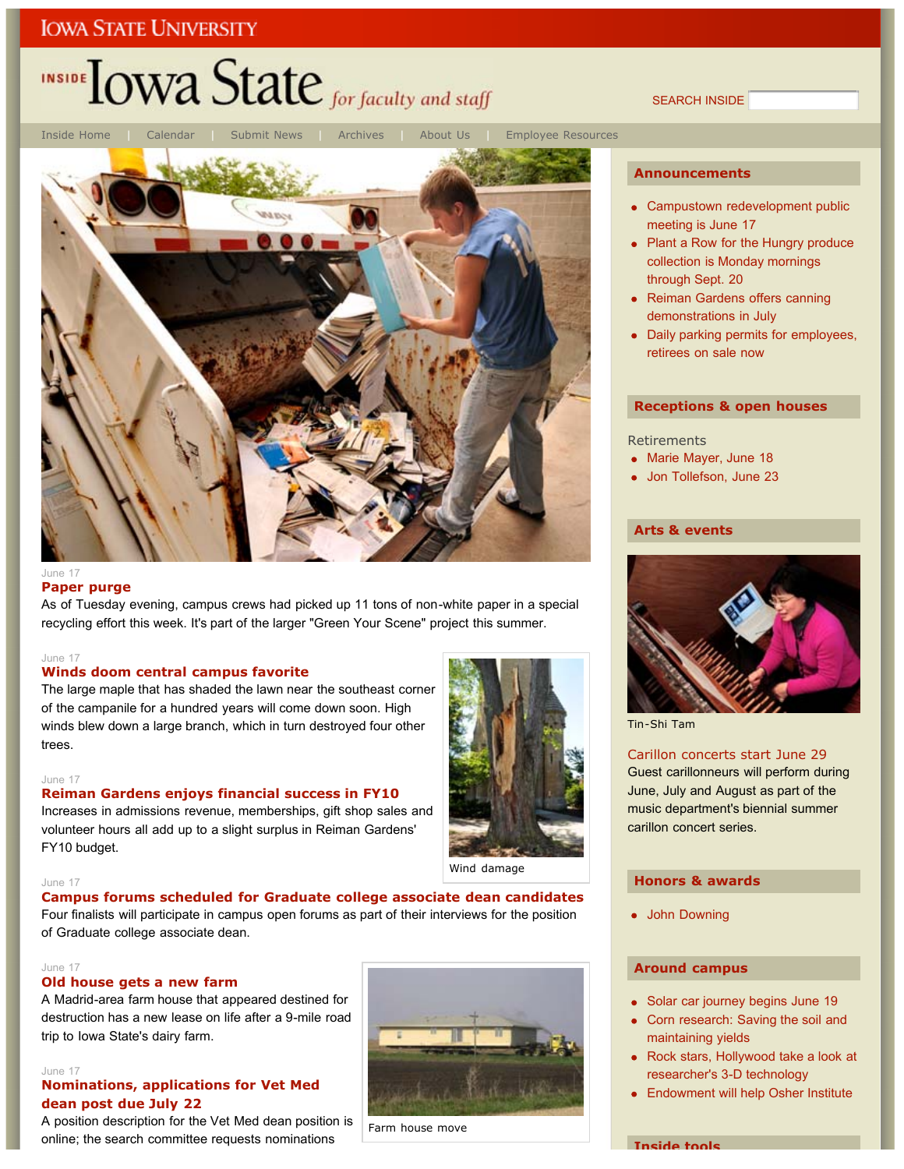# INSIDE **LOWA State** for faculty and staff

SEARCH INSIDE



### **Paper purge**

As of Tuesday evening, campus crews had picked up 11 tons of non-white paper in a special recycling effort this week. It's part of the larger "Green Your Scene" project this summer.

#### June 17

### **Winds doom central campus favorite**

The large maple that has shaded the lawn near the southeast corner of the campanile for a hundred years will come down soon. High winds blew down a large branch, which in turn destroyed four other trees.

#### June 17

#### **Reiman Gardens enjoys financial success in FY10**

Increases in admissions revenue, memberships, gift shop sales and volunteer hours all add up to a slight surplus in Reiman Gardens' FY10 budget.



Wind damage

#### June 17

**Campus forums scheduled for Graduate college associate dean candidates** Four finalists will participate in campus open forums as part of their interviews for the position of Graduate college associate dean.

#### June 17

### **Old house gets a new farm**

A Madrid-area farm house that appeared destined for destruction has a new lease on life after a 9-mile road trip to Iowa State's dairy farm.

#### June 17

### **Nominations, applications for Vet Med dean post due July 22**

A position description for the Vet Med dean position is online; the search committee requests nominations



#### Farm house move

### **Announcements**

- Campustown redevelopment public meeting is June 17
- Plant a Row for the Hungry produce collection is Monday mornings through Sept. 20
- Reiman Gardens offers canning demonstrations in July
- Daily parking permits for employees, retirees on sale now

### **Receptions & open houses**

**Retirements** 

- Marie Mayer, June 18
- Jon Tollefson, June 23

### **Arts & events**



Tin-Shi Tam

Carillon concerts start June 29 Guest carillonneurs will perform during June, July and August as part of the music department's biennial summer carillon concert series.

### **Honors & awards**

John Downing

### **Around campus**

- Solar car journey begins June 19
- Corn research: Saving the soil and maintaining yields
- Rock stars, Hollywood take a look at researcher's 3-D technology
- Endowment will help Osher Institute

**Inside tools**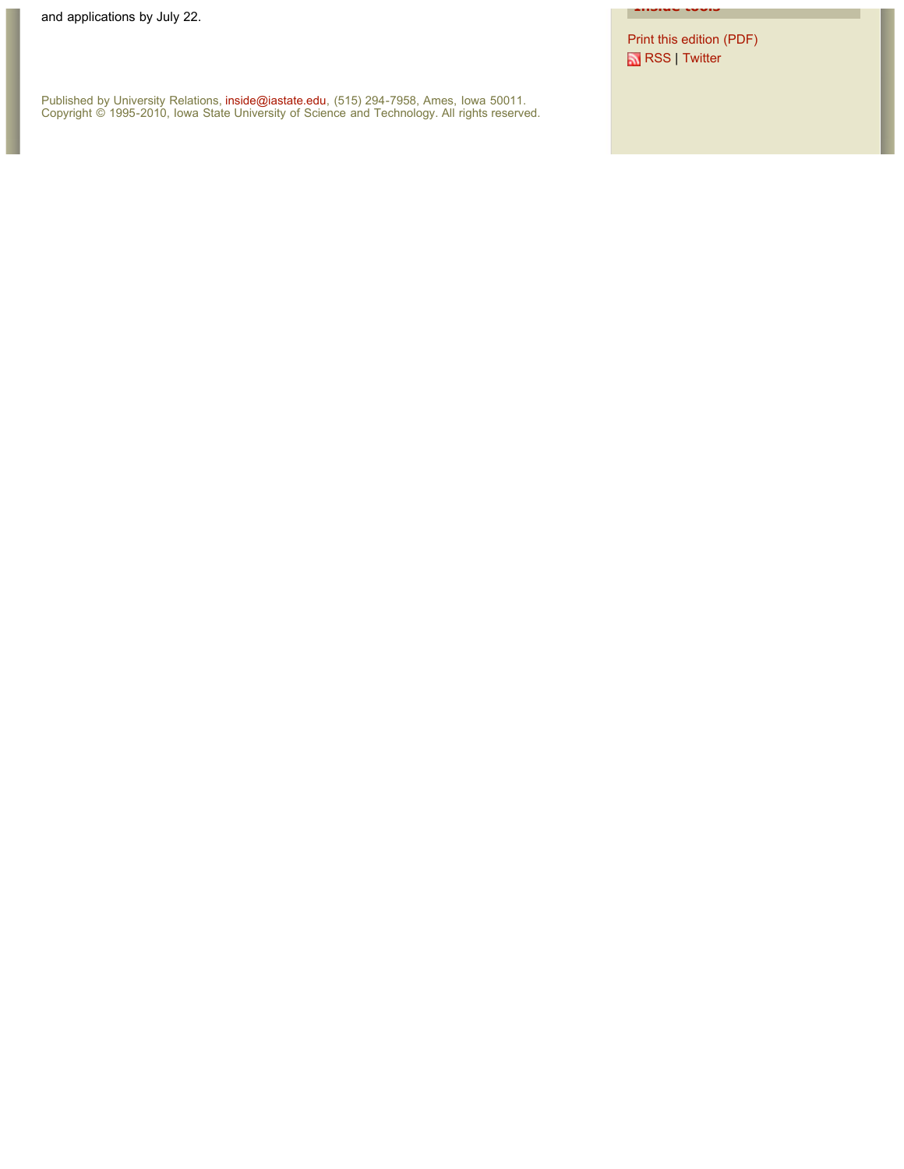Print this edition (PDF) RSS | Twitter

**Inside tools**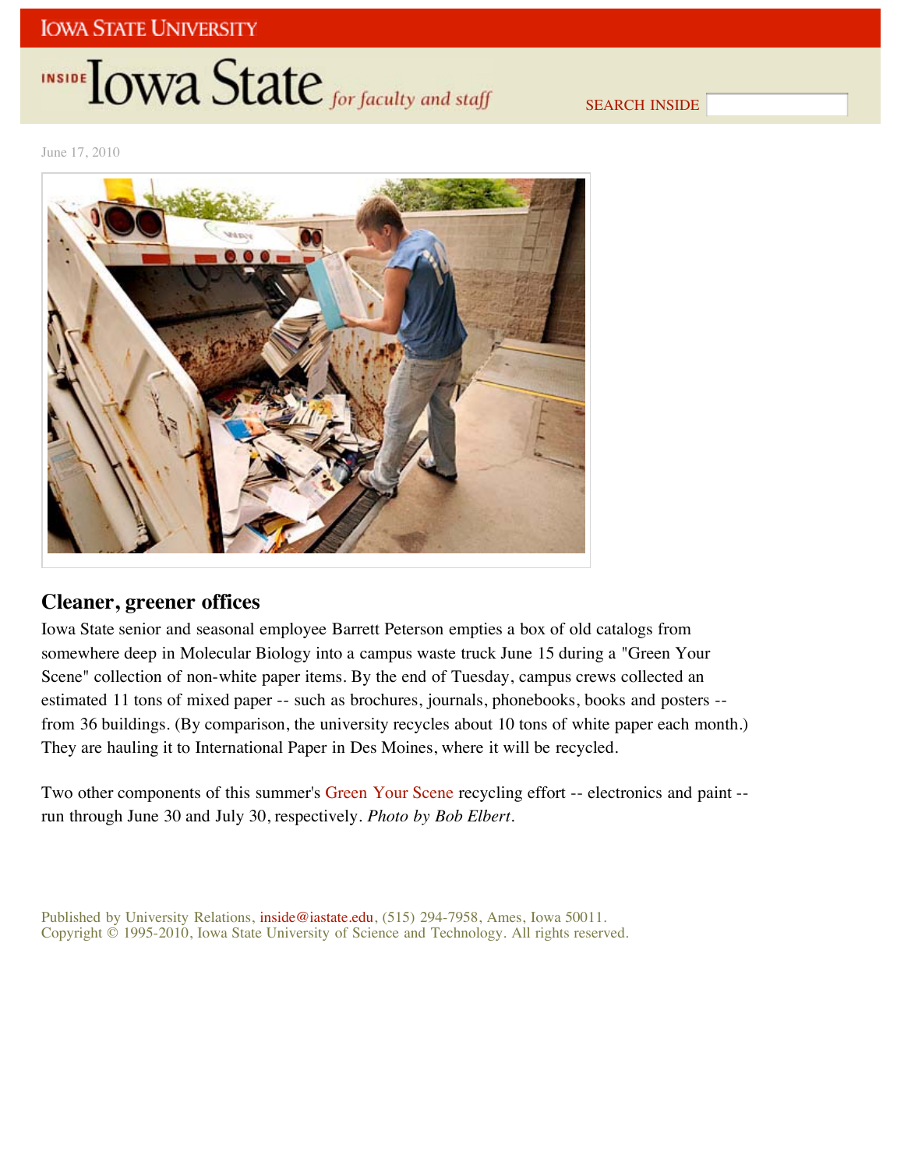# INSIDE **IOWA State** for faculty and staff

SEARCH INSIDE

June 17, 2010



## **Cleaner, greener offices**

Iowa State senior and seasonal employee Barrett Peterson empties a box of old catalogs from somewhere deep in Molecular Biology into a campus waste truck June 15 during a "Green Your Scene" collection of non-white paper items. By the end of Tuesday, campus crews collected an estimated 11 tons of mixed paper -- such as brochures, journals, phonebooks, books and posters - from 36 buildings. (By comparison, the university recycles about 10 tons of white paper each month.) They are hauling it to International Paper in Des Moines, where it will be recycled.

Two other components of this summer's Green Your Scene recycling effort -- electronics and paint -run through June 30 and July 30, respectively. *Photo by Bob Elbert*.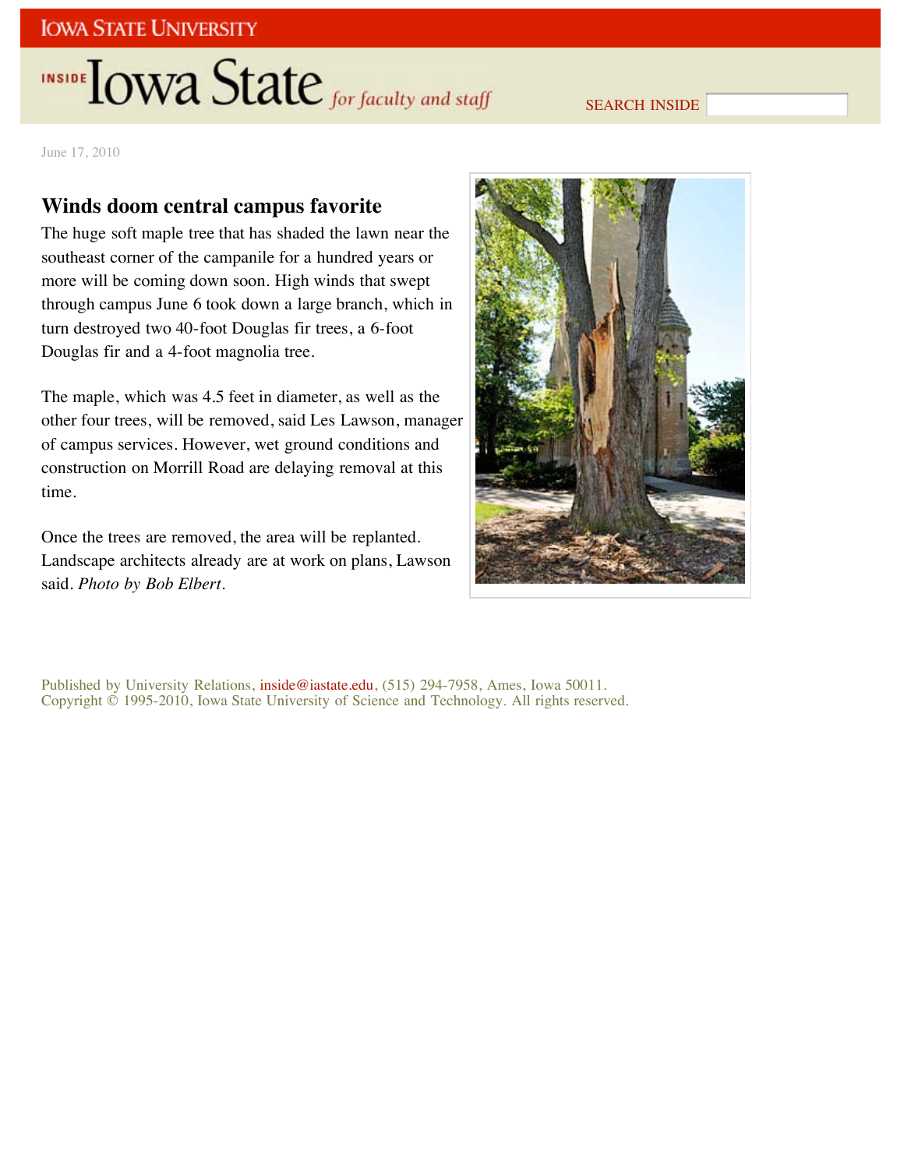# INSIDE LOWA State for faculty and staff

### SEARCH INSIDE

June 17, 2010

## **Winds doom central campus favorite**

The huge soft maple tree that has shaded the lawn near the southeast corner of the campanile for a hundred years or more will be coming down soon. High winds that swept through campus June 6 took down a large branch, which in turn destroyed two 40-foot Douglas fir trees, a 6-foot Douglas fir and a 4-foot magnolia tree.

The maple, which was 4.5 feet in diameter, as well as the other four trees, will be removed, said Les Lawson, manager of campus services. However, wet ground conditions and construction on Morrill Road are delaying removal at this time.

Once the trees are removed, the area will be replanted. Landscape architects already are at work on plans, Lawson said. *Photo by Bob Elbert*.

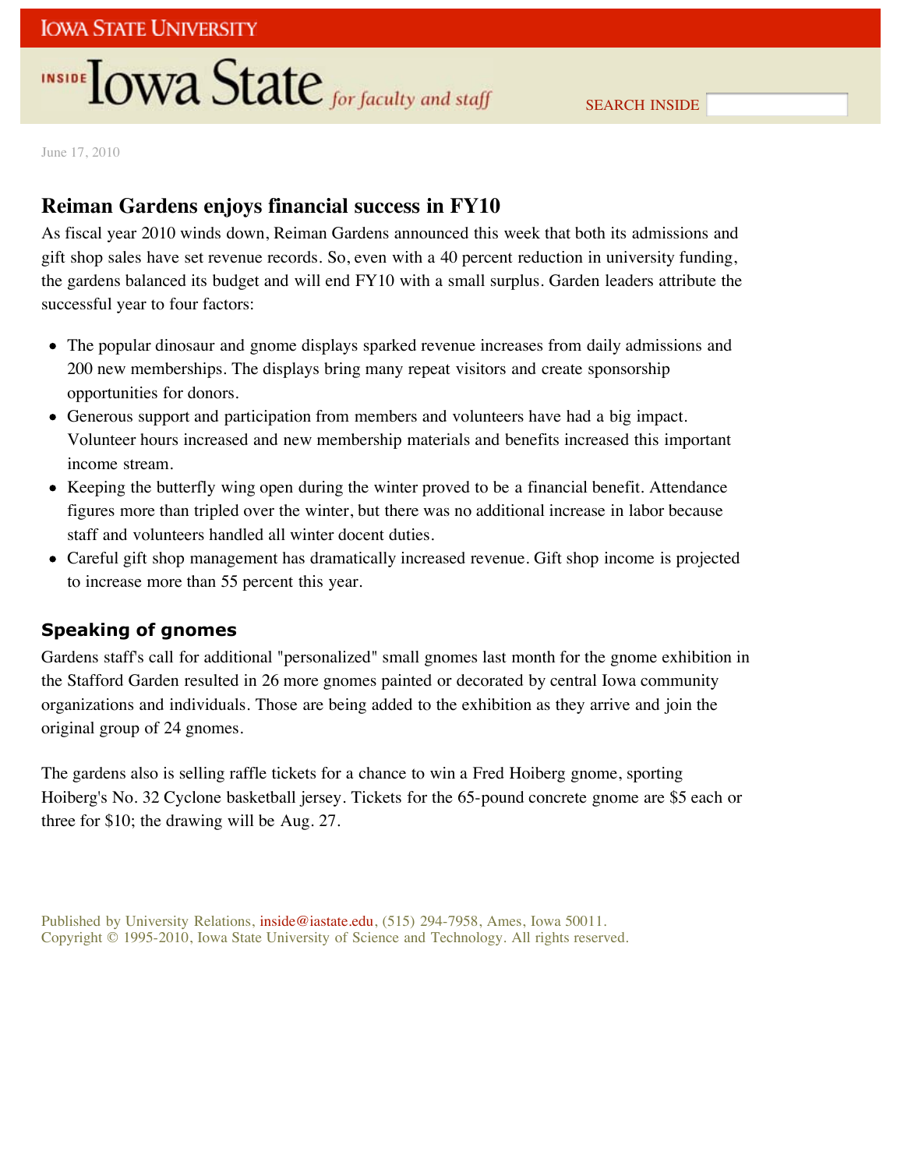# **INSIDE TOWA State** for faculty and staff

June 17, 2010

## **Reiman Gardens enjoys financial success in FY10**

As fiscal year 2010 winds down, Reiman Gardens announced this week that both its admissions and gift shop sales have set revenue records. So, even with a 40 percent reduction in university funding, the gardens balanced its budget and will end FY10 with a small surplus. Garden leaders attribute the successful year to four factors:

- The popular dinosaur and gnome displays sparked revenue increases from daily admissions and 200 new memberships. The displays bring many repeat visitors and create sponsorship opportunities for donors.
- Generous support and participation from members and volunteers have had a big impact. Volunteer hours increased and new membership materials and benefits increased this important income stream.
- Keeping the butterfly wing open during the winter proved to be a financial benefit. Attendance figures more than tripled over the winter, but there was no additional increase in labor because staff and volunteers handled all winter docent duties.
- Careful gift shop management has dramatically increased revenue. Gift shop income is projected to increase more than 55 percent this year.

### **Speaking of gnomes**

Gardens staff's call for additional "personalized" small gnomes last month for the gnome exhibition in the Stafford Garden resulted in 26 more gnomes painted or decorated by central Iowa community organizations and individuals. Those are being added to the exhibition as they arrive and join the original group of 24 gnomes.

The gardens also is selling raffle tickets for a chance to win a Fred Hoiberg gnome, sporting Hoiberg's No. 32 Cyclone basketball jersey. Tickets for the 65-pound concrete gnome are \$5 each or three for \$10; the drawing will be Aug. 27.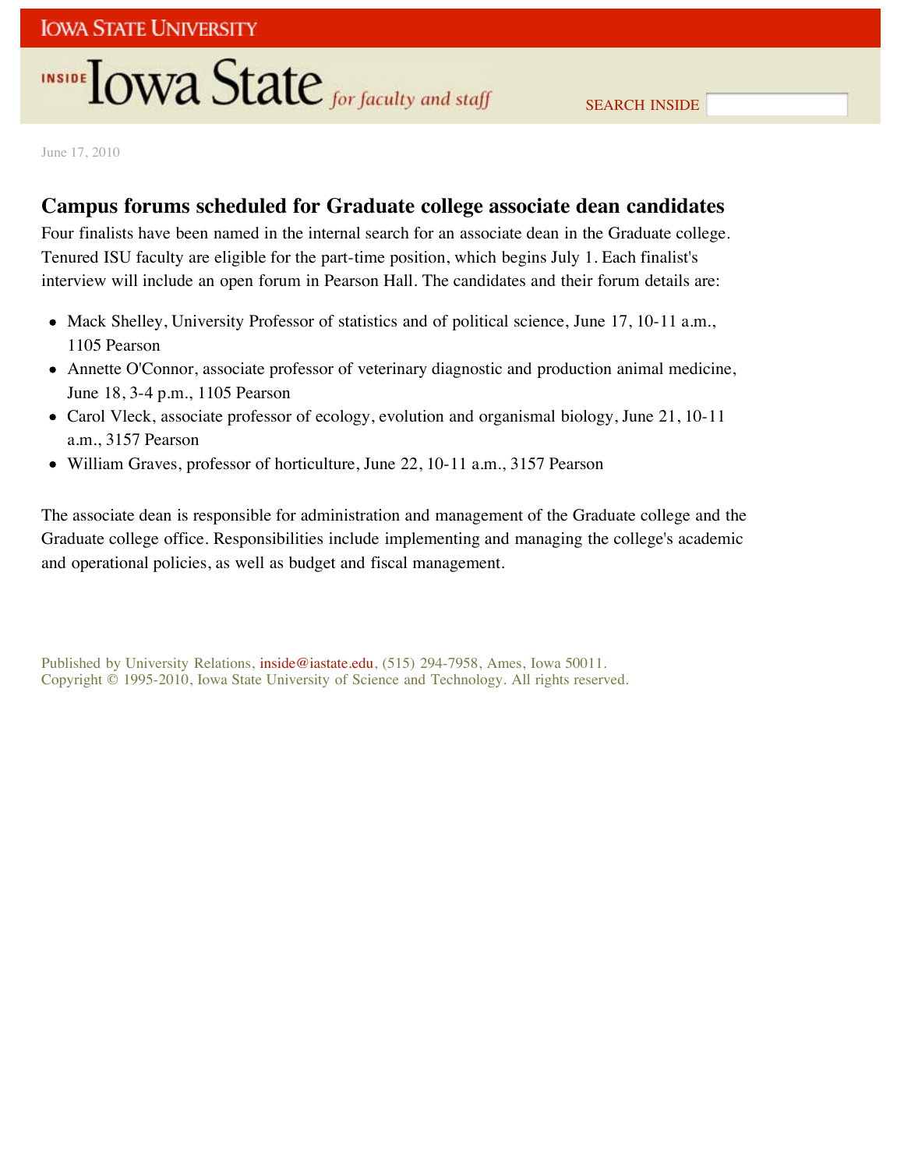# INSIDE **IOWA State** for faculty and staff

June 17, 2010

## **Campus forums scheduled for Graduate college associate dean candidates**

Four finalists have been named in the internal search for an associate dean in the Graduate college. Tenured ISU faculty are eligible for the part-time position, which begins July 1. Each finalist's interview will include an open forum in Pearson Hall. The candidates and their forum details are:

- Mack Shelley, University Professor of statistics and of political science, June 17, 10-11 a.m., 1105 Pearson
- Annette O'Connor, associate professor of veterinary diagnostic and production animal medicine, June 18, 3-4 p.m., 1105 Pearson
- Carol Vleck, associate professor of ecology, evolution and organismal biology, June 21, 10-11 a.m., 3157 Pearson
- William Graves, professor of horticulture, June 22, 10-11 a.m., 3157 Pearson

The associate dean is responsible for administration and management of the Graduate college and the Graduate college office. Responsibilities include implementing and managing the college's academic and operational policies, as well as budget and fiscal management.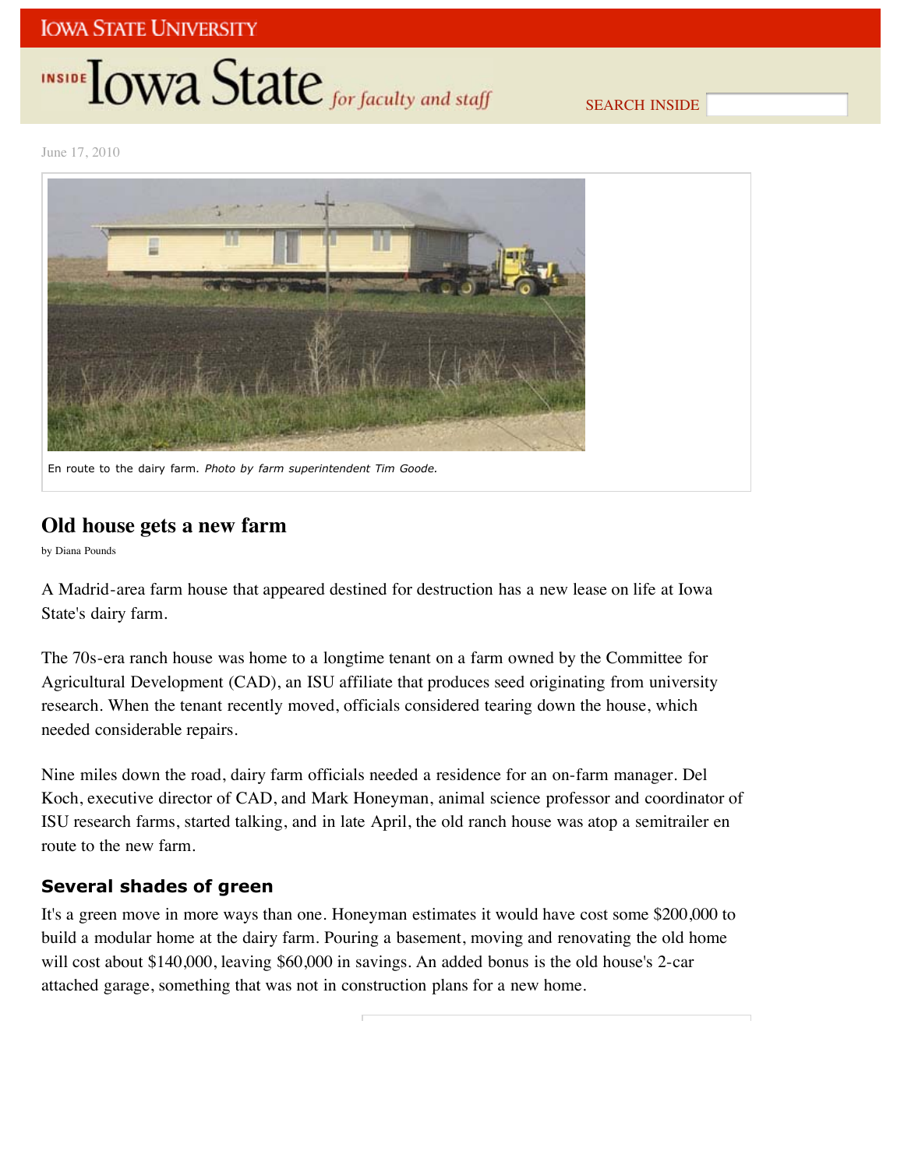## **INSIDE TOWA State** for faculty and staff

SEARCH INSIDE

June 17, 2010



## **Old house gets a new farm**

by Diana Pounds

A Madrid-area farm house that appeared destined for destruction has a new lease on life at Iowa State's dairy farm.

The 70s-era ranch house was home to a longtime tenant on a farm owned by the Committee for Agricultural Development (CAD), an ISU affiliate that produces seed originating from university research. When the tenant recently moved, officials considered tearing down the house, which needed considerable repairs.

Nine miles down the road, dairy farm officials needed a residence for an on-farm manager. Del Koch, executive director of CAD, and Mark Honeyman, animal science professor and coordinator of ISU research farms, started talking, and in late April, the old ranch house was atop a semitrailer en route to the new farm.

## **Several shades of green**

It's a green move in more ways than one. Honeyman estimates it would have cost some \$200,000 to build a modular home at the dairy farm. Pouring a basement, moving and renovating the old home will cost about \$140,000, leaving \$60,000 in savings. An added bonus is the old house's 2-car attached garage, something that was not in construction plans for a new home.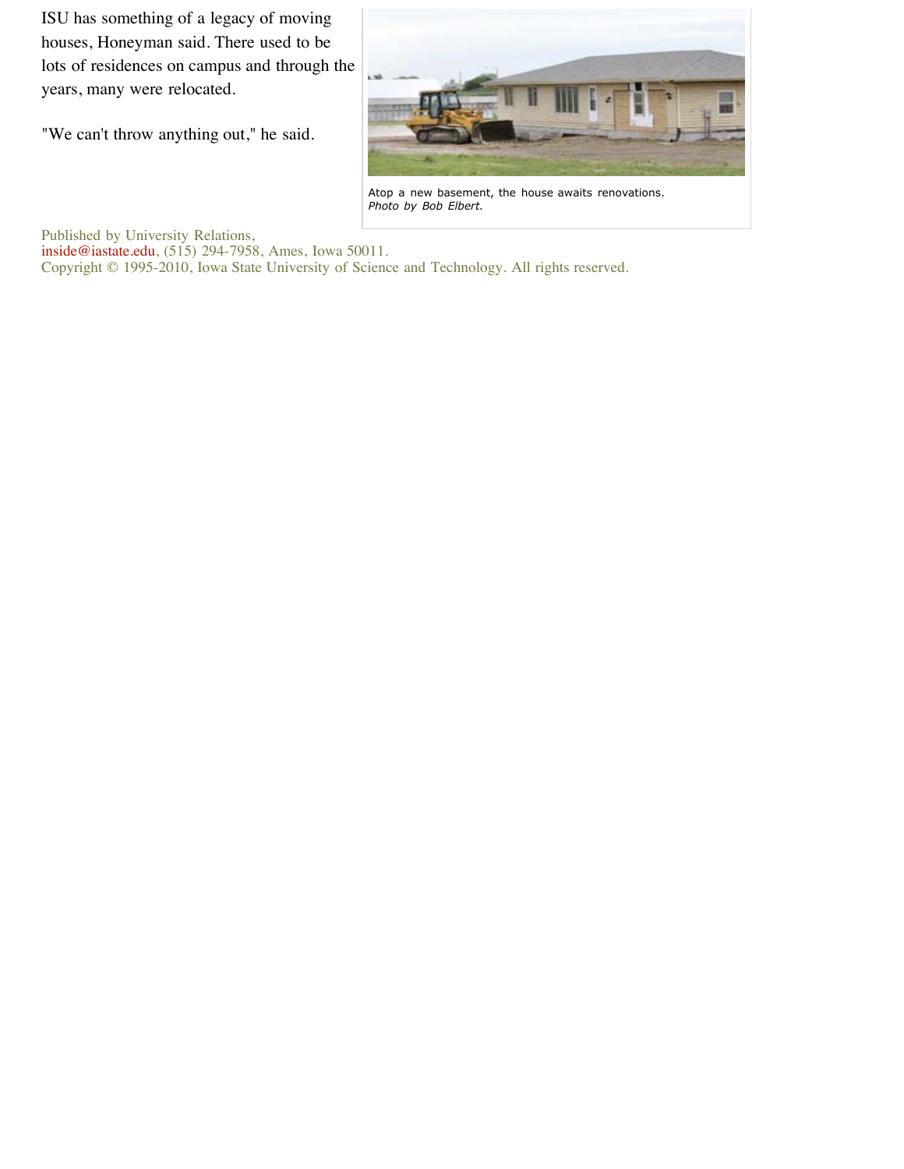ISU has something of a legacy of moving houses, Honeyman said. There used to be lots of residences on campus and through the years, many were relocated.

"We can't throw anything out," he said.



Atop a new basement, the house awaits renovations. *Photo by Bob Elbert.*

Published by University Relations,

inside@iastate.edu, (515) 294-7958, Ames, Iowa 50011.

Copyright © 1995-2010, Iowa State University of Science and Technology. All rights reserved.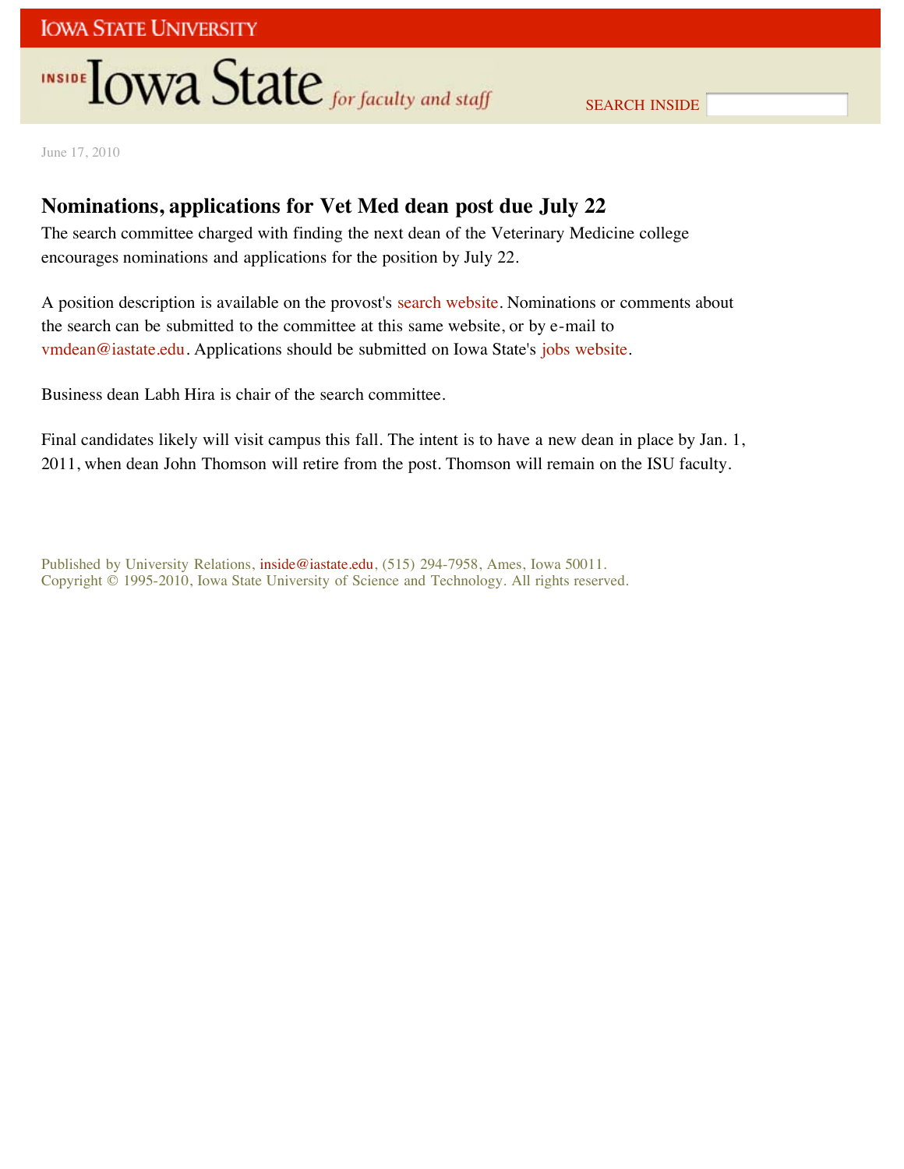# **INSIDE OWA State** for faculty and staff

SEARCH INSIDE

June 17, 2010

## **Nominations, applications for Vet Med dean post due July 22**

The search committee charged with finding the next dean of the Veterinary Medicine college encourages nominations and applications for the position by July 22.

A position description is available on the provost's search website. Nominations or comments about the search can be submitted to the committee at this same website, or by e-mail to vmdean@iastate.edu. Applications should be submitted on Iowa State's jobs website.

Business dean Labh Hira is chair of the search committee.

Final candidates likely will visit campus this fall. The intent is to have a new dean in place by Jan. 1, 2011, when dean John Thomson will retire from the post. Thomson will remain on the ISU faculty.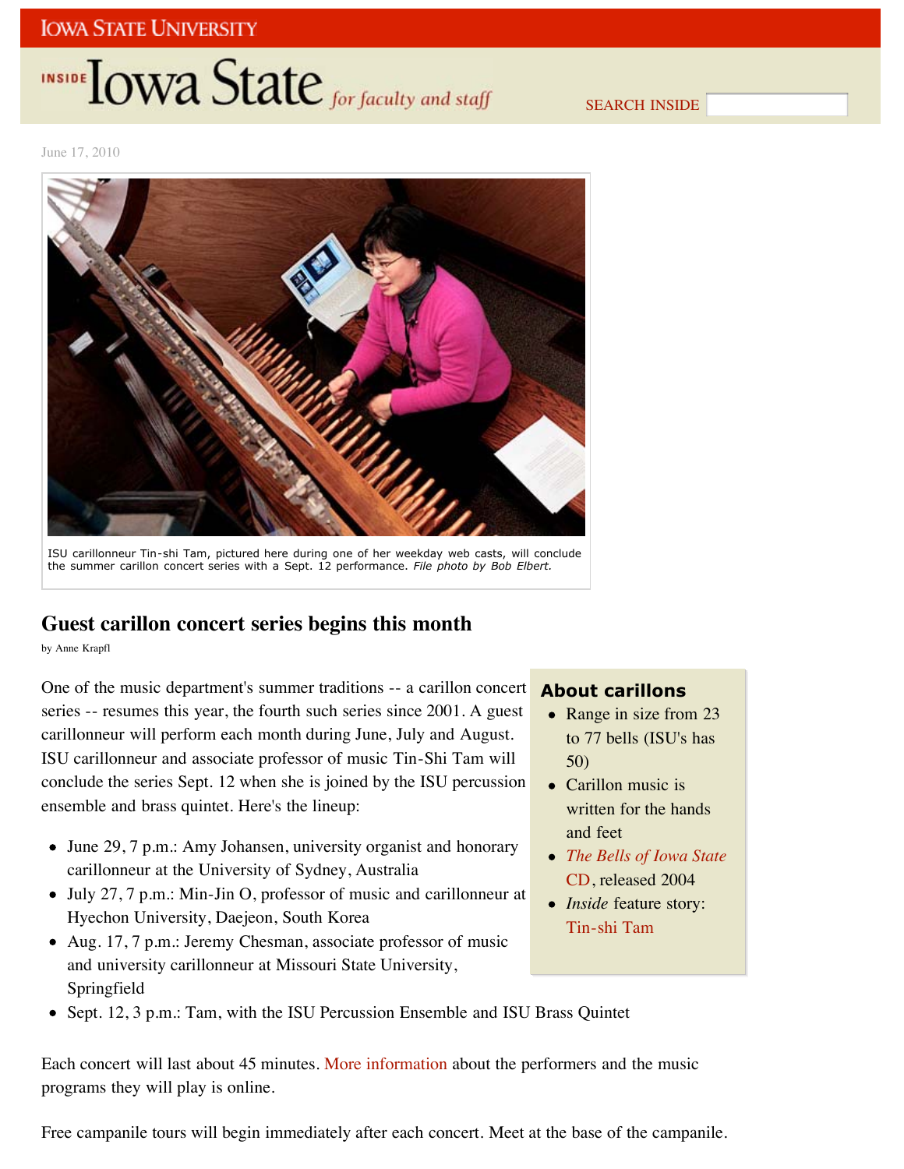# INSIDE **LOWA State** for faculty and staff

SEARCH INSIDE

June 17, 2010



## **Guest carillon concert series begins this month**

by Anne Krapfl

One of the music department's summer traditions -- a carillon concert series -- resumes this year, the fourth such series since 2001. A guest carillonneur will perform each month during June, July and August. ISU carillonneur and associate professor of music Tin-Shi Tam will conclude the series Sept. 12 when she is joined by the ISU percussion ensemble and brass quintet. Here's the lineup:

- June 29, 7 p.m.: Amy Johansen, university organist and honorary carillonneur at the University of Sydney, Australia
- July 27, 7 p.m.: Min-Jin O, professor of music and carillonneur at Hyechon University, Daejeon, South Korea
- Aug. 17, 7 p.m.: Jeremy Chesman, associate professor of music and university carillonneur at Missouri State University, Springfield

### **About carillons**

- Range in size from 23 to 77 bells (ISU's has 50)
- Carillon music is written for the hands and feet
- *The Bells of Iowa State* CD, released 2004
- *Inside* feature story: Tin-shi Tam
- Sept. 12, 3 p.m.: Tam, with the ISU Percussion Ensemble and ISU Brass Quintet

Each concert will last about 45 minutes. More information about the performers and the music programs they will play is online.

Free campanile tours will begin immediately after each concert. Meet at the base of the campanile.